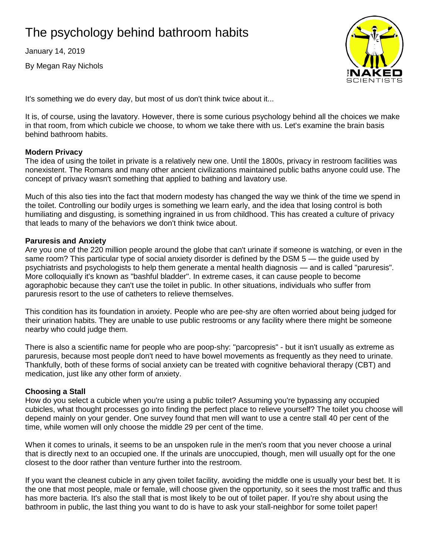# The psychology behind bathroom habits

January 14, 2019

By Megan Ray Nichols



It's something we do every day, but most of us don't think twice about it...

It is, of course, using the lavatory. However, there is some curious psychology behind all the choices we make in that room, from which cubicle we choose, to whom we take there with us. Let's examine the brain basis behind bathroom habits.

## **Modern Privacy**

The idea of using the toilet in private is a relatively new one. Until the 1800s, privacy in restroom facilities was nonexistent. The Romans and many other ancient civilizations maintained public baths anyone could use. The concept of privacy wasn't something that applied to bathing and lavatory use.

Much of this also ties into the fact that modern modesty has changed the way we think of the time we spend in the toilet. Controlling our bodily urges is something we learn early, and the idea that losing control is both humiliating and disgusting, is something ingrained in us from childhood. This has created a culture of privacy that leads to many of the behaviors we don't think twice about.

### **Paruresis and Anxiety**

Are you one of the 220 million people around the globe that can't urinate if someone is watching, or even in the same room? This particular type of social anxiety disorder is defined by the DSM 5 — the guide used by psychiatrists and psychologists to help them generate a mental health diagnosis — and is called "paruresis". More colloquially it's known as "bashful bladder". In extreme cases, it can cause people to become agoraphobic because they can't use the toilet in public. In other situations, individuals who suffer from paruresis resort to the use of catheters to relieve themselves.

This condition has its foundation in anxiety. People who are pee-shy are often worried about being judged for their urination habits. They are unable to use public restrooms or any facility where there might be someone nearby who could judge them.

There is also a scientific name for people who are poop-shy: "parcopresis" - but it isn't usually as extreme as paruresis, because most people don't need to have bowel movements as frequently as they need to urinate. Thankfully, both of these forms of social anxiety can be treated with cognitive behavioral therapy (CBT) and medication, just like any other form of anxiety.

## **Choosing a Stall**

How do you select a cubicle when you're using a public toilet? Assuming you're bypassing any occupied cubicles, what thought processes go into finding the perfect place to relieve yourself? The toilet you choose will depend mainly on your gender. One survey found that men will want to use a centre stall 40 per cent of the time, while women will only choose the middle 29 per cent of the time.

When it comes to urinals, it seems to be an unspoken rule in the men's room that you never choose a urinal that is directly next to an occupied one. If the urinals are unoccupied, though, men will usually opt for the one closest to the door rather than venture further into the restroom.

If you want the cleanest cubicle in any given toilet facility, avoiding the middle one is usually your best bet. It is the one that most people, male or female, will choose given the opportunity, so it sees the most traffic and thus has more bacteria. It's also the stall that is most likely to be out of toilet paper. If you're shy about using the bathroom in public, the last thing you want to do is have to ask your stall-neighbor for some toilet paper!